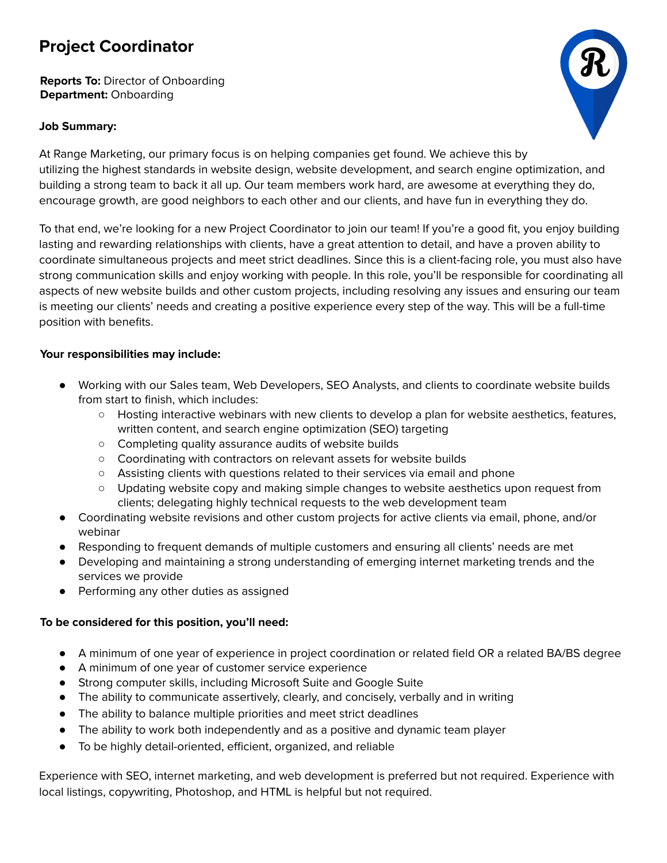## **Project Coordinator**

**Reports To:** Director of Onboarding **Department:** Onboarding

## **Job Summary:**



At Range Marketing, our primary focus is on helping companies get found. We achieve this by utilizing the highest standards in website design, website development, and search engine optimization, and building a strong team to back it all up. Our team members work hard, are awesome at everything they do, encourage growth, are good neighbors to each other and our clients, and have fun in everything they do.

To that end, we're looking for a new Project Coordinator to join our team! If you're a good fit, you enjoy building lasting and rewarding relationships with clients, have a great attention to detail, and have a proven ability to coordinate simultaneous projects and meet strict deadlines. Since this is a client-facing role, you must also have strong communication skills and enjoy working with people. In this role, you'll be responsible for coordinating all aspects of new website builds and other custom projects, including resolving any issues and ensuring our team is meeting our clients' needs and creating a positive experience every step of the way. This will be a full-time position with benefits.

## **Your responsibilities may include:**

- Working with our Sales team, Web Developers, SEO Analysts, and clients to coordinate website builds from start to finish, which includes:
	- Hosting interactive webinars with new clients to develop a plan for website aesthetics, features, written content, and search engine optimization (SEO) targeting
	- Completing quality assurance audits of website builds
	- Coordinating with contractors on relevant assets for website builds
	- Assisting clients with questions related to their services via email and phone
	- Updating website copy and making simple changes to website aesthetics upon request from clients; delegating highly technical requests to the web development team
- Coordinating website revisions and other custom projects for active clients via email, phone, and/or webinar
- Responding to frequent demands of multiple customers and ensuring all clients' needs are met
- Developing and maintaining a strong understanding of emerging internet marketing trends and the services we provide
- Performing any other duties as assigned

## **To be considered for this position, you'll need:**

- A minimum of one year of experience in project coordination or related field OR a related BA/BS degree
- A minimum of one year of customer service experience
- Strong computer skills, including Microsoft Suite and Google Suite
- The ability to communicate assertively, clearly, and concisely, verbally and in writing
- The ability to balance multiple priorities and meet strict deadlines
- The ability to work both independently and as a positive and dynamic team player
- To be highly detail-oriented, efficient, organized, and reliable

Experience with SEO, internet marketing, and web development is preferred but not required. Experience with local listings, copywriting, Photoshop, and HTML is helpful but not required.